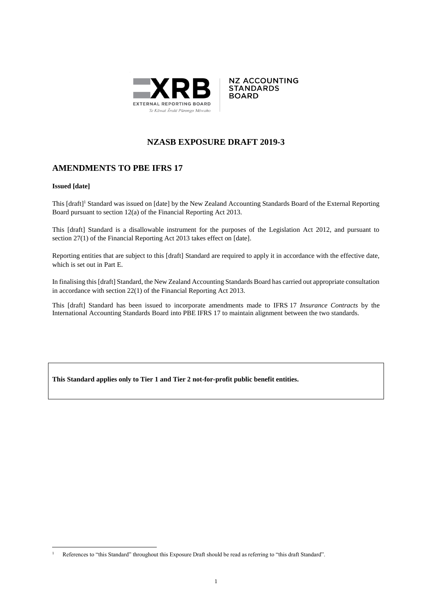



# **NZASB EXPOSURE DRAFT 2019-3**

# **AMENDMENTS TO PBE IFRS 17**

#### **Issued [date]**

This [draft]<sup>1</sup> Standard was issued on [date] by the New Zealand Accounting Standards Board of the External Reporting Board pursuant to section 12(a) of the Financial Reporting Act 2013.

This [draft] Standard is a disallowable instrument for the purposes of the Legislation Act 2012, and pursuant to section 27(1) of the Financial Reporting Act 2013 takes effect on [date].

Reporting entities that are subject to this [draft] Standard are required to apply it in accordance with the effective date, which is set out in Part E.

In finalising this [draft] Standard, the New Zealand Accounting Standards Board has carried out appropriate consultation in accordance with section 22(1) of the Financial Reporting Act 2013.

This [draft] Standard has been issued to incorporate amendments made to IFRS 17 *Insurance Contracts* by the International Accounting Standards Board into PBE IFRS 17 to maintain alignment between the two standards.

**This Standard applies only to Tier 1 and Tier 2 not-for-profit public benefit entities.**

<sup>&</sup>lt;u>.</u> <sup>1</sup> References to "this Standard" throughout this Exposure Draft should be read as referring to "this draft Standard".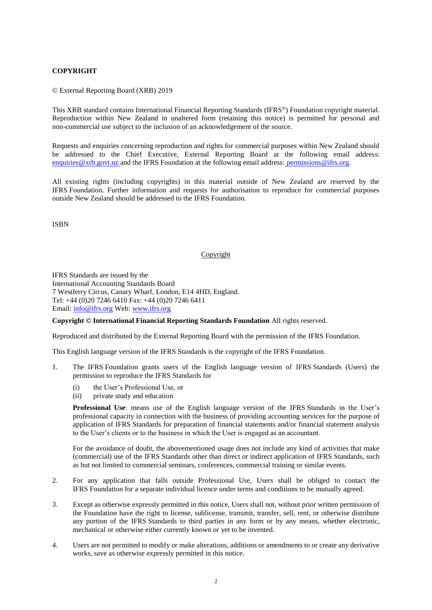## **COPYRIGHT**

© External Reporting Board (XRB) 2019

This XRB standard contains International Financial Reporting Standards (IFRS®) Foundation copyright material. Reproduction within New Zealand in unaltered form (retaining this notice) is permitted for personal and non-commercial use subject to the inclusion of an acknowledgement of the source.

Requests and enquiries concerning reproduction and rights for commercial purposes within New Zealand should be addressed to the Chief Executive, External Reporting Board at the following email address: enquiries @xrb.govt.nz and the IFRS Foundation at the following email address: permissions @ifrs.org.

All existing rights (including copyrights) in this material outside of New Zealand are reserved by the IFRS Foundation. Further information and requests for authorisation to reproduce for commercial purposes outside New Zealand should be addressed to the IFRS Foundation.

ISBN

#### Copyright

IFRS Standards are issued by the International Accounting Standards Board 7 Westferry Circus, Canary Wharf, London, E14 4HD, England. Tel: +44 (0)20 7246 6410 Fax: +44 (0)20 7246 6411 Email: [info@ifrs.org](mailto:info@ifrs.org) Web: [www.ifrs.org](http://www.ifrs.org/)

**Copyright © International Financial Reporting Standards Foundation** All rights reserved.

Reproduced and distributed by the External Reporting Board with the permission of the IFRS Foundation.

This English language version of the IFRS Standards is the copyright of the IFRS Foundation.

- 1. The IFRS Foundation grants users of the English language version of IFRS Standards (Users) the permission to reproduce the IFRS Standards for
	- (i) the User's Professional Use, or
	- (ii) private study and education

**Professional Use**: means use of the English language version of the IFRS Standards in the User's professional capacity in connection with the business of providing accounting services for the purpose of application of IFRS Standards for preparation of financial statements and/or financial statement analysis to the User's clients or to the business in which the User is engaged as an accountant.

For the avoidance of doubt, the abovementioned usage does not include any kind of activities that make (commercial) use of the IFRS Standards other than direct or indirect application of IFRS Standards, such as but not limited to commercial seminars, conferences, commercial training or similar events.

- 2. For any application that falls outside Professional Use, Users shall be obliged to contact the IFRS Foundation for a separate individual licence under terms and conditions to be mutually agreed.
- 3. Except as otherwise expressly permitted in this notice, Users shall not, without prior written permission of the Foundation have the right to license, sublicense, transmit, transfer, sell, rent, or otherwise distribute any portion of the IFRS Standards to third parties in any form or by any means, whether electronic, mechanical or otherwise either currently known or yet to be invented.
- 4. Users are not permitted to modify or make alterations, additions or amendments to or create any derivative works, save as otherwise expressly permitted in this notice.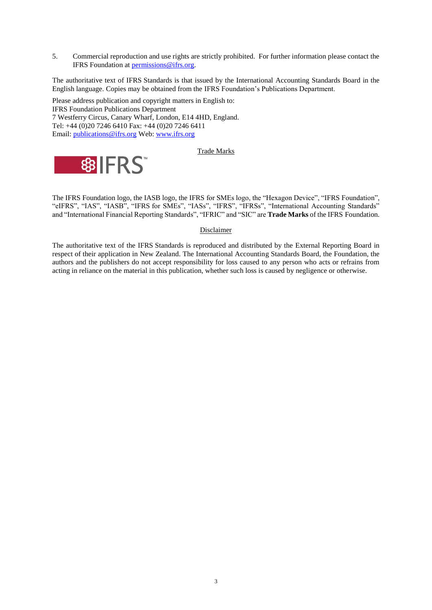5. Commercial reproduction and use rights are strictly prohibited. For further information please contact the IFRS Foundation at [permissions@ifrs.org.](mailto:permissions@ifrs.org)

The authoritative text of IFRS Standards is that issued by the International Accounting Standards Board in the English language. Copies may be obtained from the IFRS Foundation's Publications Department.

Please address publication and copyright matters in English to: IFRS Foundation Publications Department 7 Westferry Circus, Canary Wharf, London, E14 4HD, England. Tel: +44 (0)20 7246 6410 Fax: +44 (0)20 7246 6411 Email: [publications@ifrs.org](mailto:publications@ifrs.org) Web: [www.ifrs.org](http://www.ifrs.org/)

#### Trade Marks



The IFRS Foundation logo, the IASB logo, the IFRS for SMEs logo, the "Hexagon Device", "IFRS Foundation", "eIFRS", "IAS", "IASB", "IFRS for SMEs", "IASs", "IFRS", "IFRSs", "International Accounting Standards" and "International Financial Reporting Standards", "IFRIC" and "SIC" are **Trade Marks** of the IFRS Foundation.

#### Disclaimer

The authoritative text of the IFRS Standards is reproduced and distributed by the External Reporting Board in respect of their application in New Zealand. The International Accounting Standards Board, the Foundation, the authors and the publishers do not accept responsibility for loss caused to any person who acts or refrains from acting in reliance on the material in this publication, whether such loss is caused by negligence or otherwise.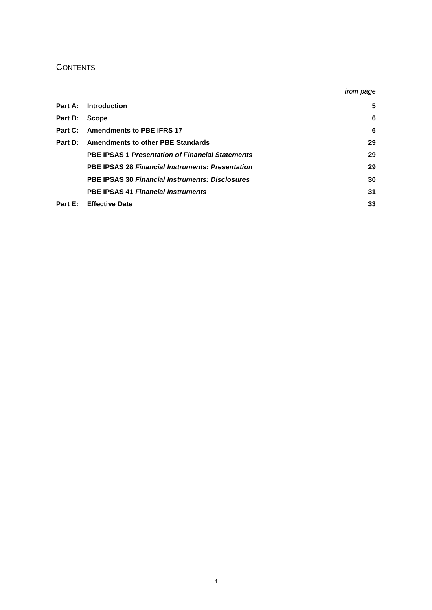# **CONTENTS**

|         |                                                         | from page |
|---------|---------------------------------------------------------|-----------|
| Part A: | Introduction                                            | 5         |
| Part B: | <b>Scope</b>                                            | 6         |
|         | Part C: Amendments to PBE IFRS 17                       | 6         |
| Part D: | <b>Amendments to other PBE Standards</b>                | 29        |
|         | <b>PBE IPSAS 1 Presentation of Financial Statements</b> | 29        |
|         | <b>PBE IPSAS 28 Financial Instruments: Presentation</b> | 29        |
|         | <b>PBE IPSAS 30 Financial Instruments: Disclosures</b>  | 30        |
|         | <b>PBE IPSAS 41 Financial Instruments</b>               | 31        |
| Part E: | <b>Effective Date</b>                                   | 33        |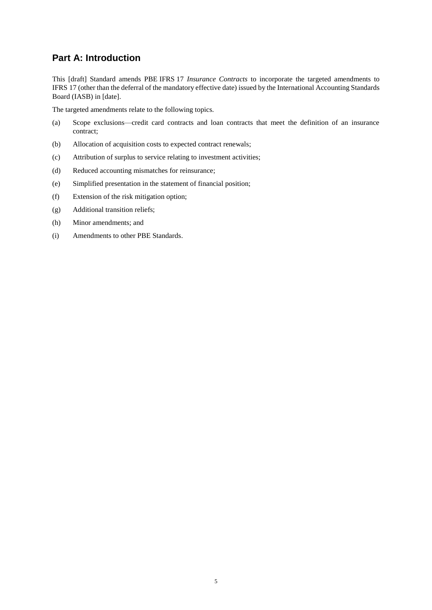# **Part A: Introduction**

This [draft] Standard amends PBE IFRS 17 *Insurance Contracts* to incorporate the targeted amendments to IFRS 17 (other than the deferral of the mandatory effective date) issued by the International Accounting Standards Board (IASB) in [date].

The targeted amendments relate to the following topics.

- (a) Scope exclusions—credit card contracts and loan contracts that meet the definition of an insurance contract;
- (b) Allocation of acquisition costs to expected contract renewals;
- (c) Attribution of surplus to service relating to investment activities;
- (d) Reduced accounting mismatches for reinsurance;
- (e) Simplified presentation in the statement of financial position;
- (f) Extension of the risk mitigation option;
- (g) Additional transition reliefs;
- (h) Minor amendments; and
- (i) Amendments to other PBE Standards.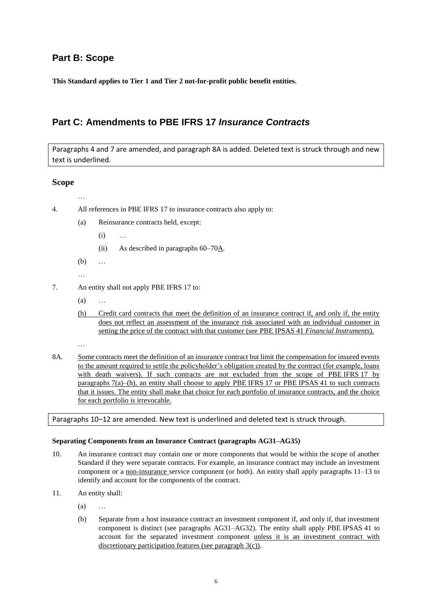# **Part B: Scope**

**This Standard applies to Tier 1 and Tier 2 not-for-profit public benefit entities.**

# **Part C: Amendments to PBE IFRS 17** *Insurance Contracts*

Paragraphs 4 and 7 are amended, and paragraph 8A is added. Deleted text is struck through and new text is underlined.

## **Scope**

…

- 4. All references in PBE IFRS 17 to insurance contracts also apply to:
	- (a) Reinsurance contracts held, except:
		- (i) …
		- (ii) As described in paragraphs  $60-70\underline{A}$ .
	- (b) …
	- …
- 7. An entity shall not apply PBE IFRS 17 to:
	- (a) …
	- (h) Credit card contracts that meet the definition of an insurance contract if, and only if, the entity does not reflect an assessment of the insurance risk associated with an individual customer in setting the price of the contract with that customer (see PBE IPSAS 41 *Financial Instruments*).
	- …
- 8A. Some contracts meet the definition of an insurance contract but limit the compensation for insured events to the amount required to settle the policyholder's obligation created by the contract (for example, loans with death waivers). If such contracts are not excluded from the scope of PBE IFRS 17 by paragraphs 7(a)–(h), an entity shall choose to apply PBE IFRS 17 or PBE IPSAS 41 to such contracts that it issues. The entity shall make that choice for each portfolio of insurance contracts, and the choice for each portfolio is irrevocable.

Paragraphs 10–12 are amended. New text is underlined and deleted text is struck through.

#### **Separating Components from an Insurance Contract (paragraphs AG31–AG35)**

- 10. An insurance contract may contain one or more components that would be within the scope of another Standard if they were separate contracts. For example, an insurance contract may include an investment component or a non-insurance service component (or both). An entity shall apply paragraphs 11–13 to identify and account for the components of the contract.
- 11. An entity shall:
	- (a) …
	- (b) Separate from a host insurance contract an investment component if, and only if, that investment component is distinct (see paragraphs AG31–AG32). The entity shall apply PBE IPSAS 41 to account for the separated investment component unless it is an investment contract with discretionary participation features (see paragraph 3(c)).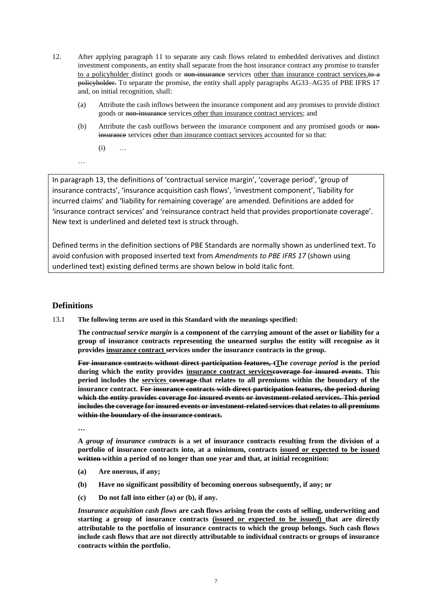- 12. After applying paragraph 11 to separate any cash flows related to embedded derivatives and distinct investment components, an entity shall separate from the host insurance contract any promise to transfer to a policyholder distinct goods or non-insurance services other than insurance contract services.<sup>to a</sup> policyholder. To separate the promise, the entity shall apply paragraphs AG33–AG35 of PBE IFRS 17 and, on initial recognition, shall:
	- (a) Attribute the cash inflows between the insurance component and any promises to provide distinct goods or non-insurance services other than insurance contract services; and
	- (b) Attribute the cash outflows between the insurance component and any promised goods or noninsurance services other than insurance contract services accounted for so that:

(i) …

…

In paragraph 13, the definitions of 'contractual service margin', 'coverage period', 'group of insurance contracts', 'insurance acquisition cash flows', 'investment component', 'liability for incurred claims' and 'liability for remaining coverage' are amended. Definitions are added for 'insurance contract services' and 'reinsurance contract held that provides proportionate coverage'. New text is underlined and deleted text is struck through.

Defined terms in the definition sections of PBE Standards are normally shown as underlined text. To avoid confusion with proposed inserted text from *Amendments to PBE IFRS 17* (shown using underlined text) existing defined terms are shown below in bold italic font.

# **Definitions**

13.1 **The following terms are used in this Standard with the meanings specified:**

**The** *contractual service margin* **is a component of the carrying amount of the asset or liability for a group of insurance contracts representing the unearned surplus the entity will recognise as it provides insurance contract services under the insurance contracts in the group.**

**For insurance contracts without direct participation features, tThe** *coverage period* **is the period during which the entity provides insurance contract servicescoverage for insured events. This period includes the services coverage that relates to all premiums within the boundary of the insurance contract. For insurance contracts with direct participation features, the period during which the entity provides coverage for insured events or investment-related services. This period includes the coverage for insured events or investment-related services that relates to all premiums within the boundary of the insurance contract.**

**…**

**A** *group of insurance contracts* **is a set of insurance contracts resulting from the division of a portfolio of insurance contracts into, at a minimum, contracts issued or expected to be issued written within a period of no longer than one year and that, at initial recognition:**

- **(a) Are onerous, if any;**
- **(b) Have no significant possibility of becoming onerous subsequently, if any; or**
- **(c) Do not fall into either (a) or (b), if any.**

*Insurance acquisition cash flows* **are cash flows arising from the costs of selling, underwriting and starting a group of insurance contracts (issued or expected to be issued) that are directly attributable to the portfolio of insurance contracts to which the group belongs. Such cash flows include cash flows that are not directly attributable to individual contracts or groups of insurance contracts within the portfolio.**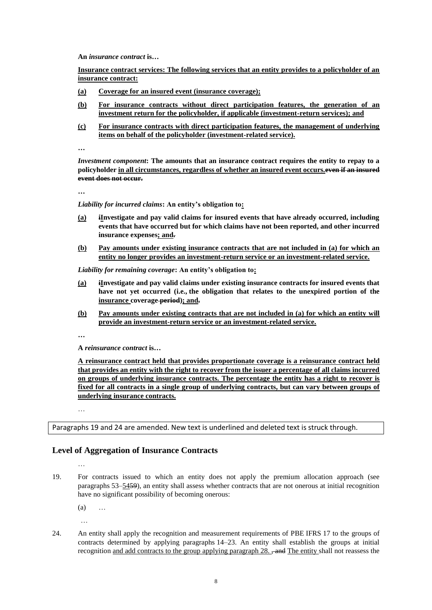**An** *insurance contract* **is…**

**Insurance contract services: The following services that an entity provides to a policyholder of an insurance contract:**

- **(a) Coverage for an insured event (insurance coverage);**
- **(b) For insurance contracts without direct participation features, the generation of an investment return for the policyholder, if applicable (investment-return services); and**
- **(c) For insurance contracts with direct participation features, the management of underlying items on behalf of the policyholder (investment-related service).**

**…**

*Investment component***: The amounts that an insurance contract requires the entity to repay to a policyholder in all circumstances, regardless of whether an insured event occurs.even if an insured event does not occur.**

**…**

*Liability for incurred claims***: An entity's obligation to:**

- **(a) iInvestigate and pay valid claims for insured events that have already occurred, including events that have occurred but for which claims have not been reported, and other incurred insurance expenses; and.**
- **(b) Pay amounts under existing insurance contracts that are not included in (a) for which an entity no longer provides an investment-return service or an investment-related service.**

*Liability for remaining coverage***: An entity's obligation to:**

- **(a) iInvestigate and pay valid claims under existing insurance contracts for insured events that have not yet occurred (i.e., the obligation that relates to the unexpired portion of the insurance coverage period); and.**
- **(b) Pay amounts under existing contracts that are not included in (a) for which an entity will provide an investment-return service or an investment-related service.**

**…**

**A** *reinsurance contract* **is…**

**A reinsurance contract held that provides proportionate coverage is a reinsurance contract held that provides an entity with the right to recover from the issuer a percentage of all claims incurred on groups of underlying insurance contracts. The percentage the entity has a right to recover is fixed for all contracts in a single group of underlying contracts, but can vary between groups of underlying insurance contracts.**

…

Paragraphs 19 and 24 are amended. New text is underlined and deleted text is struck through.

# **Level of Aggregation of Insurance Contracts**

…

19. For contracts issued to which an entity does not apply the premium allocation approach (see paragraphs 53–5459), an entity shall assess whether contracts that are not onerous at initial recognition have no significant possibility of becoming onerous:

(a) …

…

24. An entity shall apply the recognition and measurement requirements of PBE IFRS 17 to the groups of contracts determined by applying paragraphs 14–23. An entity shall establish the groups at initial recognition and add contracts to the group applying paragraph  $28.$   $\frac{1}{2}$  and The entity shall not reassess the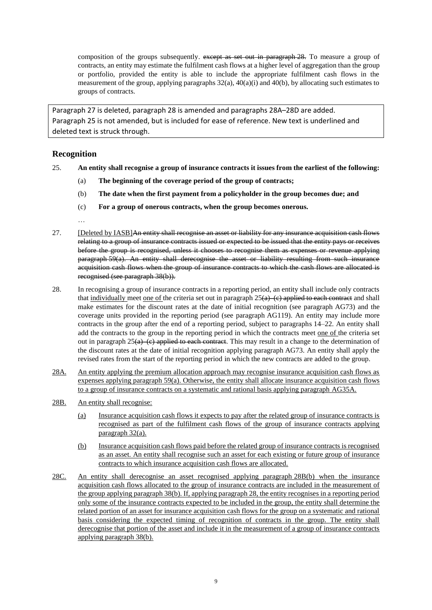composition of the groups subsequently. except as set out in paragraph 28. To measure a group of contracts, an entity may estimate the fulfilment cash flows at a higher level of aggregation than the group or portfolio, provided the entity is able to include the appropriate fulfilment cash flows in the measurement of the group, applying paragraphs  $32(a)$ ,  $40(a)(i)$  and  $40(b)$ , by allocating such estimates to groups of contracts.

Paragraph 27 is deleted, paragraph 28 is amended and paragraphs 28A–28D are added. Paragraph 25 is not amended, but is included for ease of reference. New text is underlined and deleted text is struck through.

# **Recognition**

- 25. **An entity shall recognise a group of insurance contracts it issues from the earliest of the following:** 
	- (a) **The beginning of the coverage period of the group of contracts;**
	- (b) **The date when the first payment from a policyholder in the group becomes due; and**
	- (c) **For a group of onerous contracts, when the group becomes onerous.**

- 27. [Deleted by IASB]An entity shall recognise an asset or liability for any insurance acquisition cash flows relating to a group of insurance contracts issued or expected to be issued that the entity pays or receives before the group is recognised, unless it chooses to recognise them as expenses or revenue applying paragraph 59(a). An entity shall derecognise the asset or liability resulting from such insurance acquisition cash flows when the group of insurance contracts to which the cash flows are allocated is recognised (see paragraph 38(b)).
- 28. In recognising a group of insurance contracts in a reporting period, an entity shall include only contracts that individually meet one of the criteria set out in paragraph  $25(a)$  (c) applied to each contract and shall make estimates for the discount rates at the date of initial recognition (see paragraph AG73) and the coverage units provided in the reporting period (see paragraph AG119). An entity may include more contracts in the group after the end of a reporting period, subject to paragraphs 14–22. An entity shall add the contracts to the group in the reporting period in which the contracts meet one of the criteria set out in paragraph  $25(a)$ –(c) applied to each contract. This may result in a change to the determination of the discount rates at the date of initial recognition applying paragraph AG73. An entity shall apply the revised rates from the start of the reporting period in which the new contracts are added to the group.
- 28A. An entity applying the premium allocation approach may recognise insurance acquisition cash flows as expenses applying paragraph 59(a). Otherwise, the entity shall allocate insurance acquisition cash flows to a group of insurance contracts on a systematic and rational basis applying paragraph AG35A.
- 28B. An entity shall recognise:
	- (a) Insurance acquisition cash flows it expects to pay after the related group of insurance contracts is recognised as part of the fulfilment cash flows of the group of insurance contracts applying paragraph 32(a).
	- (b) Insurance acquisition cash flows paid before the related group of insurance contracts is recognised as an asset. An entity shall recognise such an asset for each existing or future group of insurance contracts to which insurance acquisition cash flows are allocated.
- 28C. An entity shall derecognise an asset recognised applying paragraph 28B(b) when the insurance acquisition cash flows allocated to the group of insurance contracts are included in the measurement of the group applying paragraph 38(b). If, applying paragraph 28, the entity recognises in a reporting period only some of the insurance contracts expected to be included in the group, the entity shall determine the related portion of an asset for insurance acquisition cash flows for the group on a systematic and rational basis considering the expected timing of recognition of contracts in the group. The entity shall derecognise that portion of the asset and include it in the measurement of a group of insurance contracts applying paragraph 38(b).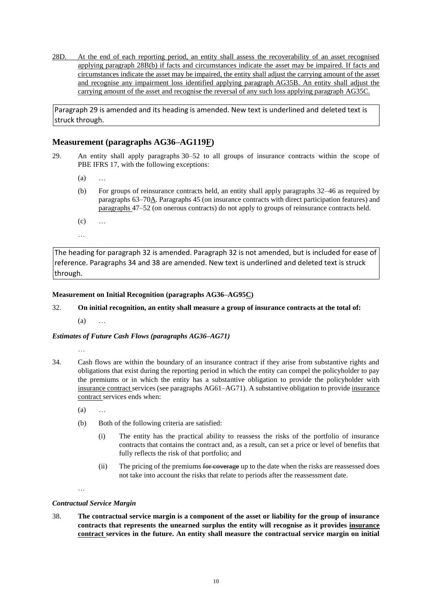28D. At the end of each reporting period, an entity shall assess the recoverability of an asset recognised applying paragraph 28B(b) if facts and circumstances indicate the asset may be impaired. If facts and circumstances indicate the asset may be impaired, the entity shall adjust the carrying amount of the asset and recognise any impairment loss identified applying paragraph AG35B. An entity shall adjust the carrying amount of the asset and recognise the reversal of any such loss applying paragraph AG35C.

Paragraph 29 is amended and its heading is amended. New text is underlined and deleted text is struck through.

# **Measurement (paragraphs AG36–AG119F)**

- 29. An entity shall apply paragraphs 30–52 to all groups of insurance contracts within the scope of PBE IFRS 17, with the following exceptions:
	- (a) …
	- (b) For groups of reinsurance contracts held, an entity shall apply paragraphs 32–46 as required by paragraphs 63–70A. Paragraphs 45 (on insurance contracts with direct participation features) and paragraphs 47–52 (on onerous contracts) do not apply to groups of reinsurance contracts held.
	- (c) …
	- …

The heading for paragraph 32 is amended. Paragraph 32 is not amended, but is included for ease of reference. Paragraphs 34 and 38 are amended. New text is underlined and deleted text is struck through.

## **Measurement on Initial Recognition (paragraphs AG36–AG95C)**

32. **On initial recognition, an entity shall measure a group of insurance contracts at the total of:** 

 $(a)$ 

# *Estimates of Future Cash Flows (paragraphs AG36–AG71)*

…

- 34. Cash flows are within the boundary of an insurance contract if they arise from substantive rights and obligations that exist during the reporting period in which the entity can compel the policyholder to pay the premiums or in which the entity has a substantive obligation to provide the policyholder with insurance contract services (see paragraphs AG61–AG71). A substantive obligation to provide insurance contract services ends when:
	- (a) …
	- (b) Both of the following criteria are satisfied:
		- (i) The entity has the practical ability to reassess the risks of the portfolio of insurance contracts that contains the contract and, as a result, can set a price or level of benefits that fully reflects the risk of that portfolio; and
		- (ii) The pricing of the premiums for coverage up to the date when the risks are reassessed does not take into account the risks that relate to periods after the reassessment date.

…

# *Contractual Service Margin*

38. **The contractual service margin is a component of the asset or liability for the group of insurance contracts that represents the unearned surplus the entity will recognise as it provides insurance contract services in the future. An entity shall measure the contractual service margin on initial**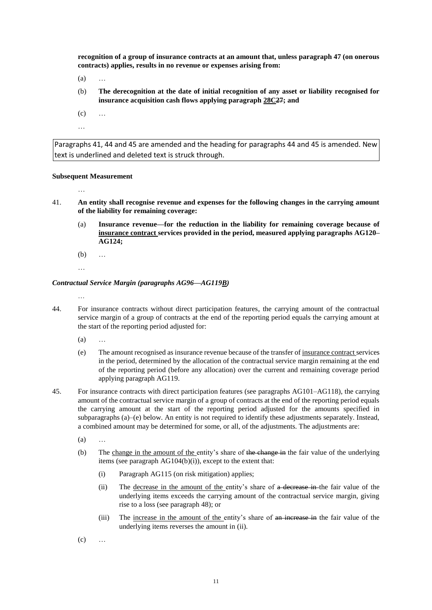**recognition of a group of insurance contracts at an amount that, unless paragraph 47 (on onerous contracts) applies, results in no revenue or expenses arising from:** 

- $(a)$
- (b) **The derecognition at the date of initial recognition of any asset or liability recognised for insurance acquisition cash flows applying paragraph 28C27; and**
- $(c) \qquad \ldots$
- …

Paragraphs 41, 44 and 45 are amended and the heading for paragraphs 44 and 45 is amended. New text is underlined and deleted text is struck through.

#### **Subsequent Measurement**

- …
- 41. **An entity shall recognise revenue and expenses for the following changes in the carrying amount of the liability for remaining coverage:** 
	- (a) **Insurance revenue—for the reduction in the liability for remaining coverage because of insurance contract services provided in the period, measured applying paragraphs AG120– AG124;**
	- (b) …
	- …

#### *Contractual Service Margin (paragraphs AG96—AG119B)*

- 44. For insurance contracts without direct participation features, the carrying amount of the contractual service margin of a group of contracts at the end of the reporting period equals the carrying amount at the start of the reporting period adjusted for:
	- $(a)$
	- (e) The amount recognised as insurance revenue because of the transfer of insurance contract services in the period, determined by the allocation of the contractual service margin remaining at the end of the reporting period (before any allocation) over the current and remaining coverage period applying paragraph AG119.
- 45. For insurance contracts with direct participation features (see paragraphs AG101–AG118), the carrying amount of the contractual service margin of a group of contracts at the end of the reporting period equals the carrying amount at the start of the reporting period adjusted for the amounts specified in subparagraphs (a)–(e) below. An entity is not required to identify these adjustments separately. Instead, a combined amount may be determined for some, or all, of the adjustments. The adjustments are:
	- (a) …
	- (b) The change in the amount of the entity's share of the change in the fair value of the underlying items (see paragraph AG104(b)(i)), except to the extent that:
		- (i) Paragraph AG115 (on risk mitigation) applies;
		- (ii) The decrease in the amount of the entity's share of a decrease in the fair value of the underlying items exceeds the carrying amount of the contractual service margin, giving rise to a loss (see paragraph 48); or
		- (iii) The increase in the amount of the entity's share of an increase in the fair value of the underlying items reverses the amount in (ii).
	- $(c)$  ...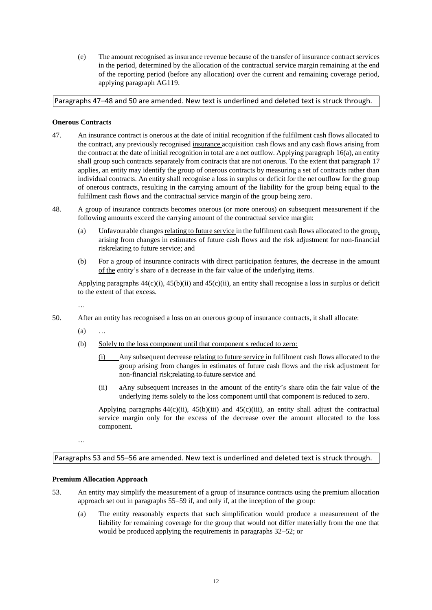(e) The amount recognised as insurance revenue because of the transfer of insurance contract services in the period, determined by the allocation of the contractual service margin remaining at the end of the reporting period (before any allocation) over the current and remaining coverage period, applying paragraph AG119.

# Paragraphs 47–48 and 50 are amended. New text is underlined and deleted text is struck through.

### **Onerous Contracts**

- 47. An insurance contract is onerous at the date of initial recognition if the fulfilment cash flows allocated to the contract, any previously recognised insurance acquisition cash flows and any cash flows arising from the contract at the date of initial recognition in total are a net outflow. Applying paragraph 16(a), an entity shall group such contracts separately from contracts that are not onerous. To the extent that paragraph 17 applies, an entity may identify the group of onerous contracts by measuring a set of contracts rather than individual contracts. An entity shall recognise a loss in surplus or deficit for the net outflow for the group of onerous contracts, resulting in the carrying amount of the liability for the group being equal to the fulfilment cash flows and the contractual service margin of the group being zero.
- 48. A group of insurance contracts becomes onerous (or more onerous) on subsequent measurement if the following amounts exceed the carrying amount of the contractual service margin:
	- (a) Unfavourable changes relating to future service in the fulfilment cash flows allocated to the group, arising from changes in estimates of future cash flows and the risk adjustment for non-financial riskrelating to future service; and
	- (b) For a group of insurance contracts with direct participation features, the decrease in the amount of the entity's share of a decrease in the fair value of the underlying items.

Applying paragraphs 44(c)(i), 45(b)(ii) and 45(c)(ii), an entity shall recognise a loss in surplus or deficit to the extent of that excess.

…

- 50. After an entity has recognised a loss on an onerous group of insurance contracts, it shall allocate:
	- $(a)$
	- (b) Solely to the loss component until that component s reduced to zero:
		- (i) Any subsequent decrease relating to future service in fulfilment cash flows allocated to the group arising from changes in estimates of future cash flows and the risk adjustment for non-financial risk;relating to future service and
		- (ii)  $\theta$  a Any subsequent increases in the <u>amount of the entity's</u> share of the fair value of the underlying items solely to the loss component until that component is reduced to zero.

Applying paragraphs  $44(c)$ (ii),  $45(b)$ (iii) and  $45(c)$ (iii), an entity shall adjust the contractual service margin only for the excess of the decrease over the amount allocated to the loss component.

…

Paragraphs 53 and 55–56 are amended. New text is underlined and deleted text is struck through.

#### **Premium Allocation Approach**

- 53. An entity may simplify the measurement of a group of insurance contracts using the premium allocation approach set out in paragraphs 55–59 if, and only if, at the inception of the group:
	- (a) The entity reasonably expects that such simplification would produce a measurement of the liability for remaining coverage for the group that would not differ materially from the one that would be produced applying the requirements in paragraphs 32–52; or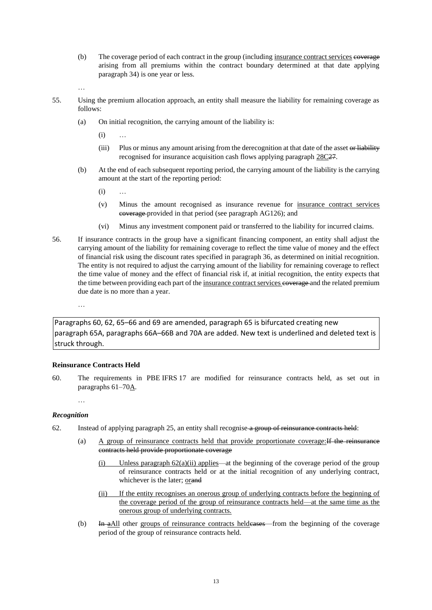- (b) The coverage period of each contract in the group (including insurance contract services coverage arising from all premiums within the contract boundary determined at that date applying paragraph 34) is one year or less.
- …
- 55. Using the premium allocation approach, an entity shall measure the liability for remaining coverage as follows:
	- (a) On initial recognition, the carrying amount of the liability is:
		- $(i)$
		- (iii) Plus or minus any amount arising from the derecognition at that date of the asset or liability recognised for insurance acquisition cash flows applying paragraph 28C27.
	- (b) At the end of each subsequent reporting period, the carrying amount of the liability is the carrying amount at the start of the reporting period:
		- (i) …
		- (v) Minus the amount recognised as insurance revenue for insurance contract services coverage provided in that period (see paragraph AG126); and
		- (vi) Minus any investment component paid or transferred to the liability for incurred claims.
- 56. If insurance contracts in the group have a significant financing component, an entity shall adjust the carrying amount of the liability for remaining coverage to reflect the time value of money and the effect of financial risk using the discount rates specified in paragraph 36, as determined on initial recognition. The entity is not required to adjust the carrying amount of the liability for remaining coverage to reflect the time value of money and the effect of financial risk if, at initial recognition, the entity expects that the time between providing each part of the insurance contract services esperage and the related premium due date is no more than a year.

…

Paragraphs 60, 62, 65–66 and 69 are amended, paragraph 65 is bifurcated creating new paragraph 65A, paragraphs 66A–66B and 70A are added. New text is underlined and deleted text is struck through.

#### **Reinsurance Contracts Held**

60. The requirements in PBE IFRS 17 are modified for reinsurance contracts held, as set out in paragraphs 61-70A.

…

#### *Recognition*

- 62. Instead of applying paragraph 25, an entity shall recognise a group of reinsurance contracts held:
	- (a) A group of reinsurance contracts held that provide proportionate coverage:If the reinsurance contracts held provide proportionate coverage
		- (i) Unless paragraph  $62(a)(ii)$  applies—at the beginning of the coverage period of the group of reinsurance contracts held or at the initial recognition of any underlying contract, whichever is the later; orand
		- (ii) If the entity recognises an onerous group of underlying contracts before the beginning of the coverage period of the group of reinsurance contracts held—at the same time as the onerous group of underlying contracts.
	- (b) In  $\frac{A_n}{A_n}$  other groups of reinsurance contracts heldeneses—from the beginning of the coverage period of the group of reinsurance contracts held.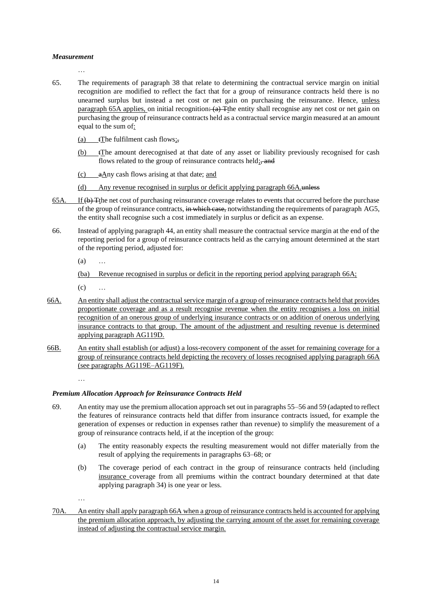#### *Measurement*

…

- 65. The requirements of paragraph 38 that relate to determining the contractual service margin on initial recognition are modified to reflect the fact that for a group of reinsurance contracts held there is no unearned surplus but instead a net cost or net gain on purchasing the reinsurance. Hence, unless paragraph 65A applies, on initial recognition:  $(a)$  The entity shall recognise any net cost or net gain on purchasing the group of reinsurance contracts held as a contractual service margin measured at an amount equal to the sum of:
	- (a) tThe fulfilment cash flows;,
	- (b) tThe amount derecognised at that date of any asset or liability previously recognised for cash flows related to the group of reinsurance contracts held; and
	- (c) aAny cash flows arising at that date; and
	- (d) Any revenue recognised in surplus or deficit applying paragraph 66A.unless
- 65A. If (b) Tthe net cost of purchasing reinsurance coverage relates to events that occurred before the purchase of the group of reinsurance contracts, in which case, notwithstanding the requirements of paragraph AG5, the entity shall recognise such a cost immediately in surplus or deficit as an expense.
- 66. Instead of applying paragraph 44, an entity shall measure the contractual service margin at the end of the reporting period for a group of reinsurance contracts held as the carrying amount determined at the start of the reporting period, adjusted for:

(a) …

(ba) Revenue recognised in surplus or deficit in the reporting period applying paragraph 66A;

 $(c)$  ...

- 66A. An entity shall adjust the contractual service margin of a group of reinsurance contracts held that provides proportionate coverage and as a result recognise revenue when the entity recognises a loss on initial recognition of an onerous group of underlying insurance contracts or on addition of onerous underlying insurance contracts to that group. The amount of the adjustment and resulting revenue is determined applying paragraph AG119D.
- 66B. An entity shall establish (or adjust) a loss-recovery component of the asset for remaining coverage for a group of reinsurance contracts held depicting the recovery of losses recognised applying paragraph 66A (see paragraphs AG119E–AG119F).

…

# *Premium Allocation Approach for Reinsurance Contracts Held*

- 69. An entity may use the premium allocation approach set out in paragraphs 55–56 and 59 (adapted to reflect the features of reinsurance contracts held that differ from insurance contracts issued, for example the generation of expenses or reduction in expenses rather than revenue) to simplify the measurement of a group of reinsurance contracts held, if at the inception of the group:
	- (a) The entity reasonably expects the resulting measurement would not differ materially from the result of applying the requirements in paragraphs 63–68; or
	- (b) The coverage period of each contract in the group of reinsurance contracts held (including insurance coverage from all premiums within the contract boundary determined at that date applying paragraph 34) is one year or less.

…

70A. An entity shall apply paragraph 66A when a group of reinsurance contracts held is accounted for applying the premium allocation approach, by adjusting the carrying amount of the asset for remaining coverage instead of adjusting the contractual service margin.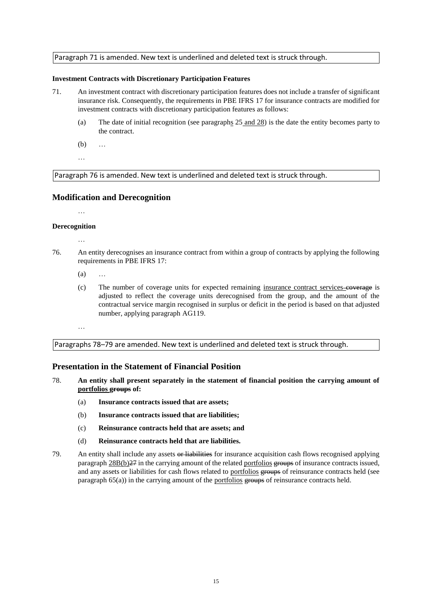### Paragraph 71 is amended. New text is underlined and deleted text is struck through.

#### **Investment Contracts with Discretionary Participation Features**

- 71. An investment contract with discretionary participation features does not include a transfer of significant insurance risk. Consequently, the requirements in PBE IFRS 17 for insurance contracts are modified for investment contracts with discretionary participation features as follows:
	- (a) The date of initial recognition (see paragraphs 25 and 28) is the date the entity becomes party to the contract.
	- (b) …
	- …

Paragraph 76 is amended. New text is underlined and deleted text is struck through.

#### **Modification and Derecognition**

…

### **Derecognition**

- …
- 76. An entity derecognises an insurance contract from within a group of contracts by applying the following requirements in PBE IFRS 17:
	- $(a)$
	- (c) The number of coverage units for expected remaining insurance contract services-esperage is adjusted to reflect the coverage units derecognised from the group, and the amount of the contractual service margin recognised in surplus or deficit in the period is based on that adjusted number, applying paragraph AG119.

…

Paragraphs 78–79 are amended. New text is underlined and deleted text is struck through.

### **Presentation in the Statement of Financial Position**

- 78. **An entity shall present separately in the statement of financial position the carrying amount of portfolios groups of:** 
	- (a) **Insurance contracts issued that are assets;**
	- (b) **Insurance contracts issued that are liabilities;**
	- (c) **Reinsurance contracts held that are assets; and**
	- (d) **Reinsurance contracts held that are liabilities.**
- 79. An entity shall include any assets or liabilities for insurance acquisition cash flows recognised applying paragraph  $28B(b)$ <sup>27</sup> in the carrying amount of the related portfolios groups of insurance contracts issued, and any assets or liabilities for cash flows related to portfolios groups of reinsurance contracts held (see paragraph  $65(a)$ ) in the carrying amount of the portfolios groups of reinsurance contracts held.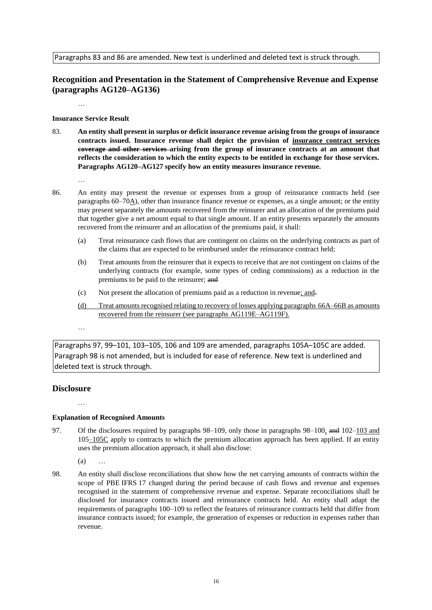Paragraphs 83 and 86 are amended. New text is underlined and deleted text is struck through.

# **Recognition and Presentation in the Statement of Comprehensive Revenue and Expense (paragraphs AG120–AG136)**

…

### **Insurance Service Result**

83. **An entity shall present in surplus or deficit insurance revenue arising from the groups of insurance contracts issued. Insurance revenue shall depict the provision of insurance contract services coverage and other services arising from the group of insurance contracts at an amount that reflects the consideration to which the entity expects to be entitled in exchange for those services. Paragraphs AG120–AG127 specify how an entity measures insurance revenue.**

…

- 86. An entity may present the revenue or expenses from a group of reinsurance contracts held (see paragraphs 60–70A), other than insurance finance revenue or expenses, as a single amount; or the entity may present separately the amounts recovered from the reinsurer and an allocation of the premiums paid that together give a net amount equal to that single amount. If an entity presents separately the amounts recovered from the reinsurer and an allocation of the premiums paid, it shall:
	- (a) Treat reinsurance cash flows that are contingent on claims on the underlying contracts as part of the claims that are expected to be reimbursed under the reinsurance contract held;
	- (b) Treat amounts from the reinsurer that it expects to receive that are not contingent on claims of the underlying contracts (for example, some types of ceding commissions) as a reduction in the premiums to be paid to the reinsurer; and
	- (c) Not present the allocation of premiums paid as a reduction in revenue; and.
	- (d) Treat amounts recognised relating to recovery of losses applying paragraphs 66A–66B as amounts recovered from the reinsurer (see paragraphs AG119E–AG119F).
	- …

Paragraphs 97, 99–101, 103–105, 106 and 109 are amended, paragraphs 105A–105C are added. Paragraph 98 is not amended, but is included for ease of reference. New text is underlined and deleted text is struck through.

# **Disclosure**

…

# **Explanation of Recognised Amounts**

- 97. Of the disclosures required by paragraphs 98–109, only those in paragraphs 98–100, and 102–103 and 105–105C apply to contracts to which the premium allocation approach has been applied. If an entity uses the premium allocation approach, it shall also disclose:
	- $(a)$
- 98. An entity shall disclose reconciliations that show how the net carrying amounts of contracts within the scope of PBE IFRS 17 changed during the period because of cash flows and revenue and expenses recognised in the statement of comprehensive revenue and expense. Separate reconciliations shall be disclosed for insurance contracts issued and reinsurance contracts held. An entity shall adapt the requirements of paragraphs 100–109 to reflect the features of reinsurance contracts held that differ from insurance contracts issued; for example, the generation of expenses or reduction in expenses rather than revenue.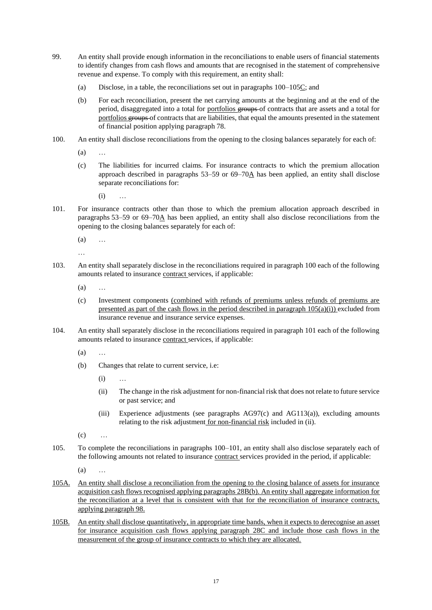- 99. An entity shall provide enough information in the reconciliations to enable users of financial statements to identify changes from cash flows and amounts that are recognised in the statement of comprehensive revenue and expense. To comply with this requirement, an entity shall:
	- (a) Disclose, in a table, the reconciliations set out in paragraphs 100–105C; and
	- (b) For each reconciliation, present the net carrying amounts at the beginning and at the end of the period, disaggregated into a total for portfolios groups of contracts that are assets and a total for portfolios **groups** of contracts that are liabilities, that equal the amounts presented in the statement of financial position applying paragraph 78.
- 100. An entity shall disclose reconciliations from the opening to the closing balances separately for each of:
	- $(a)$
	- (c) The liabilities for incurred claims. For insurance contracts to which the premium allocation approach described in paragraphs  $53-59$  or  $69-70$ A has been applied, an entity shall disclose separate reconciliations for:
		- (i) …
- 101. For insurance contracts other than those to which the premium allocation approach described in paragraphs 53–59 or 69–70A has been applied, an entity shall also disclose reconciliations from the opening to the closing balances separately for each of:
	- (a) …
	- …
- 103. An entity shall separately disclose in the reconciliations required in paragraph 100 each of the following amounts related to insurance contract services, if applicable:
	- (a) …
	- (c) Investment components (combined with refunds of premiums unless refunds of premiums are presented as part of the cash flows in the period described in paragraph  $105(a)(i)$ ) excluded from insurance revenue and insurance service expenses.
- 104. An entity shall separately disclose in the reconciliations required in paragraph 101 each of the following amounts related to insurance contract services, if applicable:
	- (a) …
	- (b) Changes that relate to current service, i.e:
		- (i) …
		- (ii) The change in the risk adjustment for non-financial risk that does not relate to future service or past service; and
		- (iii) Experience adjustments (see paragraphs AG97(c) and AG113(a)), excluding amounts relating to the risk adjustment for non-financial risk included in (ii).
	- $(c)$
- 105. To complete the reconciliations in paragraphs 100–101, an entity shall also disclose separately each of the following amounts not related to insurance contract services provided in the period, if applicable:
	- $(a)$
- 105A. An entity shall disclose a reconciliation from the opening to the closing balance of assets for insurance acquisition cash flows recognised applying paragraphs 28B(b). An entity shall aggregate information for the reconciliation at a level that is consistent with that for the reconciliation of insurance contracts, applying paragraph 98.
- 105B. An entity shall disclose quantitatively, in appropriate time bands, when it expects to derecognise an asset for insurance acquisition cash flows applying paragraph 28C and include those cash flows in the measurement of the group of insurance contracts to which they are allocated.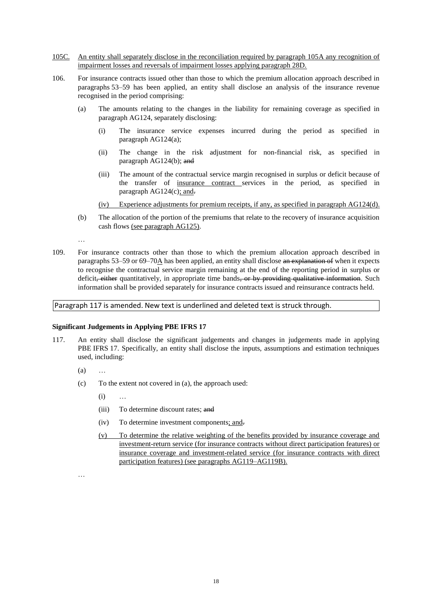- 105C. An entity shall separately disclose in the reconciliation required by paragraph 105A any recognition of impairment losses and reversals of impairment losses applying paragraph 28D.
- 106. For insurance contracts issued other than those to which the premium allocation approach described in paragraphs 53–59 has been applied, an entity shall disclose an analysis of the insurance revenue recognised in the period comprising:
	- (a) The amounts relating to the changes in the liability for remaining coverage as specified in paragraph AG124, separately disclosing:
		- (i) The insurance service expenses incurred during the period as specified in paragraph AG124(a);
		- (ii) The change in the risk adjustment for non-financial risk, as specified in paragraph AG124(b); and
		- (iii) The amount of the contractual service margin recognised in surplus or deficit because of the transfer of insurance contract services in the period, as specified in paragraph  $AG124(c)$ ; and.
		- (iv) Experience adjustments for premium receipts, if any, as specified in paragraph AG124(d).
	- (b) The allocation of the portion of the premiums that relate to the recovery of insurance acquisition cash flows (see paragraph AG125).
	- …
- 109. For insurance contracts other than those to which the premium allocation approach described in paragraphs 53–59 or 69–70A has been applied, an entity shall disclose an explanation of when it expects to recognise the contractual service margin remaining at the end of the reporting period in surplus or deficit, either quantitatively, in appropriate time bands, or by providing qualitative information. Such information shall be provided separately for insurance contracts issued and reinsurance contracts held.

Paragraph 117 is amended. New text is underlined and deleted text is struck through.

#### **Significant Judgements in Applying PBE IFRS 17**

- 117. An entity shall disclose the significant judgements and changes in judgements made in applying PBE IFRS 17. Specifically, an entity shall disclose the inputs, assumptions and estimation techniques used, including:
	- $(a)$
	- (c) To the extent not covered in (a), the approach used:
		- $(i)$
		- (iii) To determine discount rates: and
		- (iv) To determine investment components; and.
		- (v) To determine the relative weighting of the benefits provided by insurance coverage and investment-return service (for insurance contracts without direct participation features) or insurance coverage and investment-related service (for insurance contracts with direct participation features) (see paragraphs AG119–AG119B).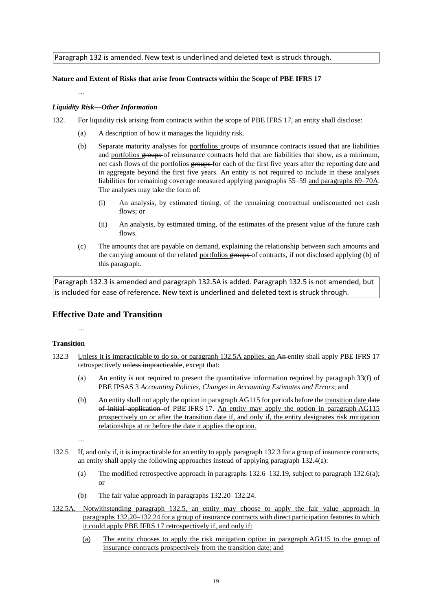Paragraph 132 is amended. New text is underlined and deleted text is struck through.

## **Nature and Extent of Risks that arise from Contracts within the Scope of PBE IFRS 17**

…

### *Liquidity Risk—Other Information*

- 132. For liquidity risk arising from contracts within the scope of PBE IFRS 17, an entity shall disclose:
	- (a) A description of how it manages the liquidity risk.
	- (b) Separate maturity analyses for portfolios groups of insurance contracts issued that are liabilities and portfolios groups of reinsurance contracts held that are liabilities that show, as a minimum, net cash flows of the portfolios groups for each of the first five years after the reporting date and in aggregate beyond the first five years. An entity is not required to include in these analyses liabilities for remaining coverage measured applying paragraphs 55–59 and paragraphs 69–70A. The analyses may take the form of:
		- (i) An analysis, by estimated timing, of the remaining contractual undiscounted net cash flows; or
		- (ii) An analysis, by estimated timing, of the estimates of the present value of the future cash flows.
	- (c) The amounts that are payable on demand, explaining the relationship between such amounts and the carrying amount of the related portfolios groups of contracts, if not disclosed applying (b) of this paragraph.

Paragraph 132.3 is amended and paragraph 132.5A is added. Paragraph 132.5 is not amended, but is included for ease of reference. New text is underlined and deleted text is struck through.

# **Effective Date and Transition**

#### **Transition**

…

- 132.3 Unless it is impracticable to do so, or paragraph 132.5A applies, an An entity shall apply PBE IFRS 17 retrospectively unless impracticable, except that:
	- (a) An entity is not required to present the quantitative information required by paragraph 33(f) of PBE IPSAS 3 *Accounting Policies, Changes in Accounting Estimates and Errors*; and
	- (b) An entity shall not apply the option in paragraph AG115 for periods before the transition date date of initial application of PBE IFRS 17. An entity may apply the option in paragraph AG115 prospectively on or after the transition date if, and only if, the entity designates risk mitigation relationships at or before the date it applies the option.

- 132.5 If, and only if, it is impracticable for an entity to apply paragraph 132.3 for a group of insurance contracts, an entity shall apply the following approaches instead of applying paragraph 132.4(a):
	- (a) The modified retrospective approach in paragraphs 132.6–132.19, subject to paragraph 132.6(a); or
	- (b) The fair value approach in paragraphs 132.20–132.24.
- 132.5A. Notwithstanding paragraph 132.5, an entity may choose to apply the fair value approach in paragraphs 132.20–132.24 for a group of insurance contracts with direct participation features to which it could apply PBE IFRS 17 retrospectively if, and only if:
	- (a) The entity chooses to apply the risk mitigation option in paragraph AG115 to the group of insurance contracts prospectively from the transition date; and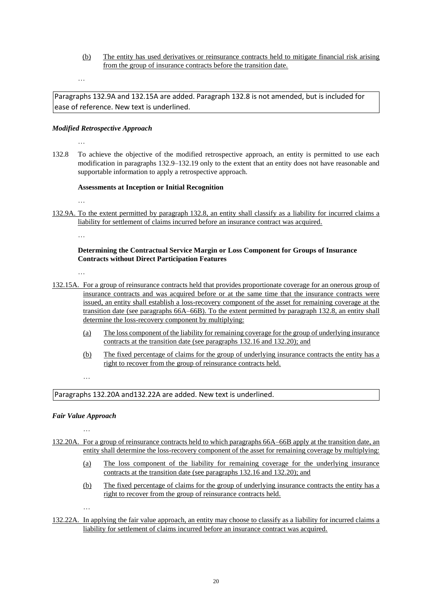(b) The entity has used derivatives or reinsurance contracts held to mitigate financial risk arising from the group of insurance contracts before the transition date.

…

Paragraphs 132.9A and 132.15A are added. Paragraph 132.8 is not amended, but is included for ease of reference. New text is underlined.

#### *Modified Retrospective Approach*

…

132.8 To achieve the objective of the modified retrospective approach, an entity is permitted to use each modification in paragraphs 132.9–132.19 only to the extent that an entity does not have reasonable and supportable information to apply a retrospective approach.

#### **Assessments at Inception or Initial Recognition**

…

132.9A. To the extent permitted by paragraph 132.8, an entity shall classify as a liability for incurred claims a liability for settlement of claims incurred before an insurance contract was acquired.

…

## **Determining the Contractual Service Margin or Loss Component for Groups of Insurance Contracts without Direct Participation Features**

…

- 132.15A. For a group of reinsurance contracts held that provides proportionate coverage for an onerous group of insurance contracts and was acquired before or at the same time that the insurance contracts were issued, an entity shall establish a loss-recovery component of the asset for remaining coverage at the transition date (see paragraphs 66A–66B). To the extent permitted by paragraph 132.8, an entity shall determine the loss-recovery component by multiplying:
	- (a) The loss component of the liability for remaining coverage for the group of underlying insurance contracts at the transition date (see paragraphs 132.16 and 132.20); and
	- (b) The fixed percentage of claims for the group of underlying insurance contracts the entity has a right to recover from the group of reinsurance contracts held.

…

Paragraphs 132.20A and132.22A are added. New text is underlined.

# *Fair Value Approach* …

- 132.20A. For a group of reinsurance contracts held to which paragraphs 66A–66B apply at the transition date, an entity shall determine the loss-recovery component of the asset for remaining coverage by multiplying:
	- (a) The loss component of the liability for remaining coverage for the underlying insurance contracts at the transition date (see paragraphs 132.16 and 132.20); and
	- (b) The fixed percentage of claims for the group of underlying insurance contracts the entity has a right to recover from the group of reinsurance contracts held.
- 132.22A. In applying the fair value approach, an entity may choose to classify as a liability for incurred claims a liability for settlement of claims incurred before an insurance contract was acquired.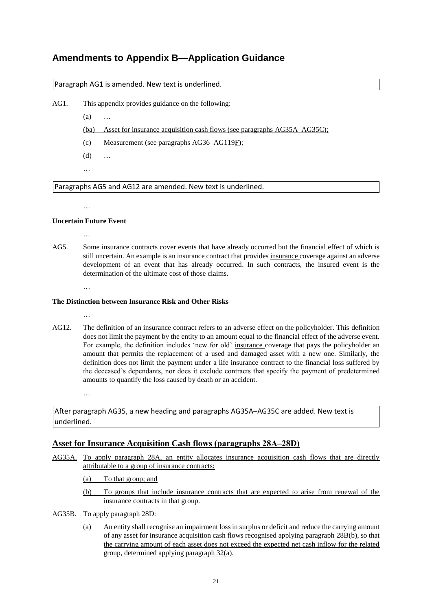# **Amendments to Appendix B—Application Guidance**

Paragraph AG1 is amended. New text is underlined.

AG1. This appendix provides guidance on the following:

(a) …

(ba) Asset for insurance acquisition cash flows (see paragraphs AG35A–AG35C);

- (c) Measurement (see paragraphs AG36–AG119F);
- (d) …
- …

Paragraphs AG5 and AG12 are amended. New text is underlined.

…

# **Uncertain Future Event**

…

…

…

AG5. Some insurance contracts cover events that have already occurred but the financial effect of which is still uncertain. An example is an insurance contract that provides insurance coverage against an adverse development of an event that has already occurred. In such contracts, the insured event is the determination of the ultimate cost of those claims.

## **The Distinction between Insurance Risk and Other Risks**

- 
- AG12. The definition of an insurance contract refers to an adverse effect on the policyholder. This definition does not limit the payment by the entity to an amount equal to the financial effect of the adverse event. For example, the definition includes 'new for old' insurance coverage that pays the policyholder an amount that permits the replacement of a used and damaged asset with a new one. Similarly, the definition does not limit the payment under a life insurance contract to the financial loss suffered by the deceased's dependants, nor does it exclude contracts that specify the payment of predetermined amounts to quantify the loss caused by death or an accident.

…

After paragraph AG35, a new heading and paragraphs AG35A–AG35C are added. New text is underlined.

# Asset for Insurance Acquisition Cash flows (paragraphs  $28A-28D$ )

- AG35A. To apply paragraph 28A, an entity allocates insurance acquisition cash flows that are directly attributable to a group of insurance contracts:
	- (a) To that group; and
	- (b) To groups that include insurance contracts that are expected to arise from renewal of the insurance contracts in that group.
- AG35B. To apply paragraph 28D:
	- (a) An entity shall recognise an impairment loss in surplus or deficit and reduce the carrying amount of any asset for insurance acquisition cash flows recognised applying paragraph 28B(b), so that the carrying amount of each asset does not exceed the expected net cash inflow for the related group, determined applying paragraph 32(a).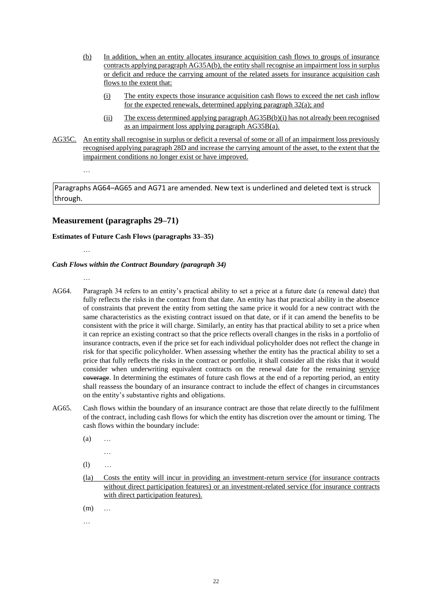- (b) In addition, when an entity allocates insurance acquisition cash flows to groups of insurance contracts applying paragraph AG35A(b), the entity shall recognise an impairment loss in surplus or deficit and reduce the carrying amount of the related assets for insurance acquisition cash flows to the extent that:
	- (i) The entity expects those insurance acquisition cash flows to exceed the net cash inflow for the expected renewals, determined applying paragraph 32(a); and
	- (ii) The excess determined applying paragraph AG35B(b)(i) has not already been recognised as an impairment loss applying paragraph AG35B(a).
- AG35C. An entity shall recognise in surplus or deficit a reversal of some or all of an impairment loss previously recognised applying paragraph 28D and increase the carrying amount of the asset, to the extent that the impairment conditions no longer exist or have improved.

Paragraphs AG64–AG65 and AG71 are amended. New text is underlined and deleted text is struck through.

# **Measurement (paragraphs 29–71)**

#### **Estimates of Future Cash Flows (paragraphs 33–35)**

…

…

…

## *Cash Flows within the Contract Boundary (paragraph 34)*

- AG64. Paragraph 34 refers to an entity's practical ability to set a price at a future date (a renewal date) that fully reflects the risks in the contract from that date. An entity has that practical ability in the absence of constraints that prevent the entity from setting the same price it would for a new contract with the same characteristics as the existing contract issued on that date, or if it can amend the benefits to be consistent with the price it will charge. Similarly, an entity has that practical ability to set a price when it can reprice an existing contract so that the price reflects overall changes in the risks in a portfolio of insurance contracts, even if the price set for each individual policyholder does not reflect the change in risk for that specific policyholder. When assessing whether the entity has the practical ability to set a price that fully reflects the risks in the contract or portfolio, it shall consider all the risks that it would consider when underwriting equivalent contracts on the renewal date for the remaining service coverage. In determining the estimates of future cash flows at the end of a reporting period, an entity shall reassess the boundary of an insurance contract to include the effect of changes in circumstances on the entity's substantive rights and obligations.
- AG65. Cash flows within the boundary of an insurance contract are those that relate directly to the fulfilment of the contract, including cash flows for which the entity has discretion over the amount or timing. The cash flows within the boundary include:
	- (a) …
		- …
	- (l) …
	- (la) Costs the entity will incur in providing an investment-return service (for insurance contracts without direct participation features) or an investment-related service (for insurance contracts with direct participation features).
	- (m) …
	- …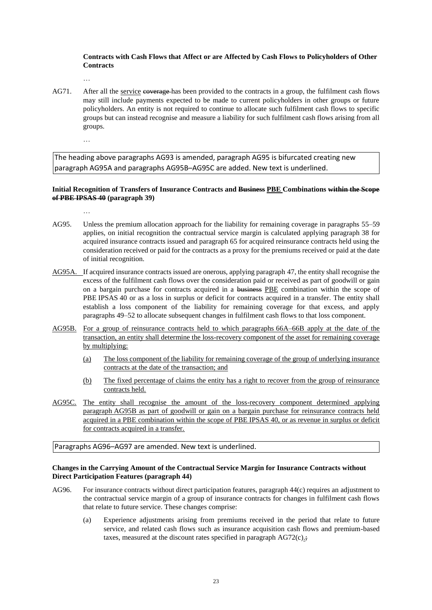### **Contracts with Cash Flows that Affect or are Affected by Cash Flows to Policyholders of Other Contracts**

…

- AG71. After all the service coverage has been provided to the contracts in a group, the fulfilment cash flows may still include payments expected to be made to current policyholders in other groups or future policyholders. An entity is not required to continue to allocate such fulfilment cash flows to specific groups but can instead recognise and measure a liability for such fulfilment cash flows arising from all groups.
	- …

The heading above paragraphs AG93 is amended, paragraph AG95 is bifurcated creating new paragraph AG95A and paragraphs AG95B–AG95C are added. New text is underlined.

## **Initial Recognition of Transfers of Insurance Contracts and Business PBE Combinations within the Scope of PBE IPSAS 40 (paragraph 39)**

- …
- AG95. Unless the premium allocation approach for the liability for remaining coverage in paragraphs 55–59 applies, on initial recognition the contractual service margin is calculated applying paragraph 38 for acquired insurance contracts issued and paragraph 65 for acquired reinsurance contracts held using the consideration received or paid for the contracts as a proxy for the premiums received or paid at the date of initial recognition.
- AG95A. If acquired insurance contracts issued are onerous, applying paragraph 47, the entity shall recognise the excess of the fulfilment cash flows over the consideration paid or received as part of goodwill or gain on a bargain purchase for contracts acquired in a business PBE combination within the scope of PBE IPSAS 40 or as a loss in surplus or deficit for contracts acquired in a transfer. The entity shall establish a loss component of the liability for remaining coverage for that excess, and apply paragraphs 49–52 to allocate subsequent changes in fulfilment cash flows to that loss component.
- AG95B. For a group of reinsurance contracts held to which paragraphs 66A–66B apply at the date of the transaction, an entity shall determine the loss-recovery component of the asset for remaining coverage by multiplying:
	- (a) The loss component of the liability for remaining coverage of the group of underlying insurance contracts at the date of the transaction; and
	- (b) The fixed percentage of claims the entity has a right to recover from the group of reinsurance contracts held.
- AG95C. The entity shall recognise the amount of the loss-recovery component determined applying paragraph AG95B as part of goodwill or gain on a bargain purchase for reinsurance contracts held acquired in a PBE combination within the scope of PBE IPSAS 40, or as revenue in surplus or deficit for contracts acquired in a transfer.

#### Paragraphs AG96–AG97 are amended. New text is underlined.

#### **Changes in the Carrying Amount of the Contractual Service Margin for Insurance Contracts without Direct Participation Features (paragraph 44)**

- AG96. For insurance contracts without direct participation features, paragraph 44(c) requires an adjustment to the contractual service margin of a group of insurance contracts for changes in fulfilment cash flows that relate to future service. These changes comprise:
	- (a) Experience adjustments arising from premiums received in the period that relate to future service, and related cash flows such as insurance acquisition cash flows and premium-based taxes, measured at the discount rates specified in paragraph  $AG72(c)$ .;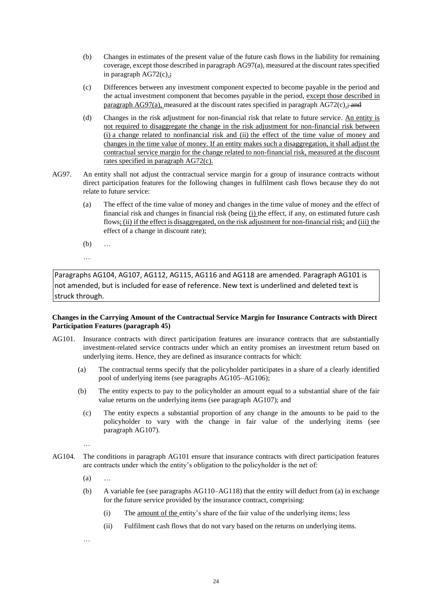- (b) Changes in estimates of the present value of the future cash flows in the liability for remaining coverage, except those described in paragraph AG97(a), measured at the discount rates specified in paragraph AG72(c).;
- (c) Differences between any investment component expected to become payable in the period and the actual investment component that becomes payable in the period, except those described in paragraph AG97(a), measured at the discount rates specified in paragraph AG72(c) $\div$ ; and
- (d) Changes in the risk adjustment for non-financial risk that relate to future service. An entity is not required to disaggregate the change in the risk adjustment for non-financial risk between (i) a change related to nonfinancial risk and (ii) the effect of the time value of money and changes in the time value of money. If an entity makes such a disaggregation, it shall adjust the contractual service margin for the change related to non-financial risk, measured at the discount rates specified in paragraph AG72(c).
- AG97. An entity shall not adjust the contractual service margin for a group of insurance contracts without direct participation features for the following changes in fulfilment cash flows because they do not relate to future service:
	- (a) The effect of the time value of money and changes in the time value of money and the effect of financial risk and changes in financial risk (being (i) the effect, if any, on estimated future cash flows; (ii) if the effect is disaggregated, on the risk adjustment for non-financial risk; and (iii) the effect of a change in discount rate);
	- (b) …
	- …

Paragraphs AG104, AG107, AG112, AG115, AG116 and AG118 are amended. Paragraph AG101 is not amended, but is included for ease of reference. New text is underlined and deleted text is struck through.

#### **Changes in the Carrying Amount of the Contractual Service Margin for Insurance Contracts with Direct Participation Features (paragraph 45)**

- AG101. Insurance contracts with direct participation features are insurance contracts that are substantially investment-related service contracts under which an entity promises an investment return based on underlying items. Hence, they are defined as insurance contracts for which:
	- (a) The contractual terms specify that the policyholder participates in a share of a clearly identified pool of underlying items (see paragraphs AG105–AG106);
	- (b) The entity expects to pay to the policyholder an amount equal to a substantial share of the fair value returns on the underlying items (see paragraph AG107); and
		- (c) The entity expects a substantial proportion of any change in the amounts to be paid to the policyholder to vary with the change in fair value of the underlying items (see paragraph AG107).

…

- AG104. The conditions in paragraph AG101 ensure that insurance contracts with direct participation features are contracts under which the entity's obligation to the policyholder is the net of:
	- $(a)$
	- (b) A variable fee (see paragraphs AG110–AG118) that the entity will deduct from (a) in exchange for the future service provided by the insurance contract, comprising:
		- (i) The amount of the entity's share of the fair value of the underlying items; less
		- (ii) Fulfilment cash flows that do not vary based on the returns on underlying items.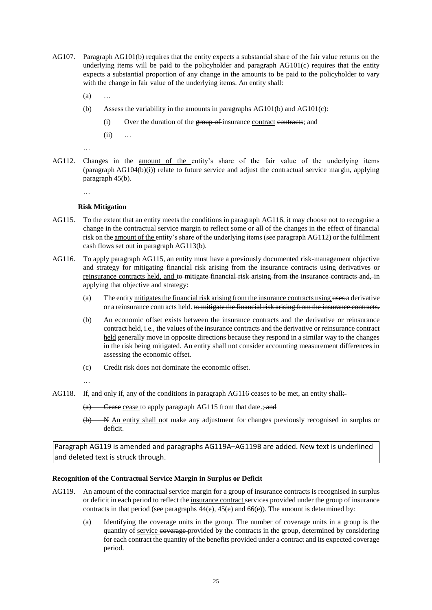- AG107. Paragraph AG101(b) requires that the entity expects a substantial share of the fair value returns on the underlying items will be paid to the policyholder and paragraph  $AG101(c)$  requires that the entity expects a substantial proportion of any change in the amounts to be paid to the policyholder to vary with the change in fair value of the underlying items. An entity shall:
	- $(a)$
	- (b) Assess the variability in the amounts in paragraphs  $AG101(b)$  and  $AG101(c)$ :
		- (i) Over the duration of the group of insurance contract contracts; and
		- (ii) …

…

AG112. Changes in the amount of the entity's share of the fair value of the underlying items (paragraph AG104(b)(i)) relate to future service and adjust the contractual service margin, applying paragraph 45(b).

…

#### **Risk Mitigation**

- AG115. To the extent that an entity meets the conditions in paragraph AG116, it may choose not to recognise a change in the contractual service margin to reflect some or all of the changes in the effect of financial risk on the amount of the entity's share of the underlying items (see paragraph AG112) or the fulfilment cash flows set out in paragraph AG113(b).
- AG116. To apply paragraph AG115, an entity must have a previously documented risk-management objective and strategy for mitigating financial risk arising from the insurance contracts using derivatives or reinsurance contracts held, and to mitigate financial risk arising from the insurance contracts and, in applying that objective and strategy:
	- (a) The entity mitigates the financial risk arising from the insurance contracts using uses a derivative or a reinsurance contracts held. to mitigate the financial risk arising from the insurance contracts.
	- (b) An economic offset exists between the insurance contracts and the derivative or reinsurance contract held, i.e., the values of the insurance contracts and the derivative or reinsurance contract held generally move in opposite directions because they respond in a similar way to the changes in the risk being mitigated. An entity shall not consider accounting measurement differences in assessing the economic offset.
	- (c) Credit risk does not dominate the economic offset.
	- …
- AG118. If, and only if, any of the conditions in paragraph AG116 ceases to be met, an entity shall $\div$ 
	- (a) Cease cease to apply paragraph AG115 from that date<sub>:</sub>; and
	- (b) N An entity shall not make any adjustment for changes previously recognised in surplus or deficit.

Paragraph AG119 is amended and paragraphs AG119A–AG119B are added. New text is underlined and deleted text is struck through.

#### **Recognition of the Contractual Service Margin in Surplus or Deficit**

- AG119. An amount of the contractual service margin for a group of insurance contracts is recognised in surplus or deficit in each period to reflect the insurance contract services provided under the group of insurance contracts in that period (see paragraphs  $44(e)$ ,  $45(e)$  and  $66(e)$ ). The amount is determined by:
	- (a) Identifying the coverage units in the group. The number of coverage units in a group is the quantity of service coverage provided by the contracts in the group, determined by considering for each contract the quantity of the benefits provided under a contract and its expected coverage period.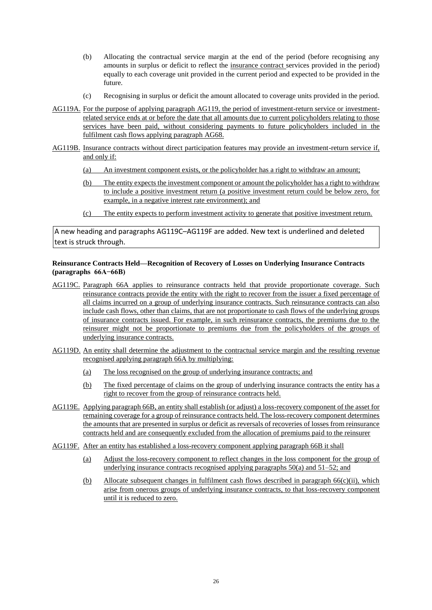- (b) Allocating the contractual service margin at the end of the period (before recognising any amounts in surplus or deficit to reflect the insurance contract services provided in the period) equally to each coverage unit provided in the current period and expected to be provided in the future.
- (c) Recognising in surplus or deficit the amount allocated to coverage units provided in the period.
- AG119A. For the purpose of applying paragraph AG119, the period of investment-return service or investmentrelated service ends at or before the date that all amounts due to current policyholders relating to those services have been paid, without considering payments to future policyholders included in the fulfilment cash flows applying paragraph AG68.
- AG119B. Insurance contracts without direct participation features may provide an investment-return service if, and only if:
	- (a) An investment component exists, or the policyholder has a right to withdraw an amount;
	- (b) The entity expects the investment component or amount the policyholder has a right to withdraw to include a positive investment return (a positive investment return could be below zero, for example, in a negative interest rate environment); and
	- (c) The entity expects to perform investment activity to generate that positive investment return.

A new heading and paragraphs AG119C–AG119F are added. New text is underlined and deleted text is struck through.

### **Reinsurance Contracts Held—Recognition of Recovery of Losses on Underlying Insurance Contracts (paragraphs 66A−66B)**

- AG119C. Paragraph 66A applies to reinsurance contracts held that provide proportionate coverage. Such reinsurance contracts provide the entity with the right to recover from the issuer a fixed percentage of all claims incurred on a group of underlying insurance contracts. Such reinsurance contracts can also include cash flows, other than claims, that are not proportionate to cash flows of the underlying groups of insurance contracts issued. For example, in such reinsurance contracts, the premiums due to the reinsurer might not be proportionate to premiums due from the policyholders of the groups of underlying insurance contracts.
- AG119D. An entity shall determine the adjustment to the contractual service margin and the resulting revenue recognised applying paragraph 66A by multiplying:
	- (a) The loss recognised on the group of underlying insurance contracts; and
	- (b) The fixed percentage of claims on the group of underlying insurance contracts the entity has a right to recover from the group of reinsurance contracts held.
- AG119E. Applying paragraph 66B, an entity shall establish (or adjust) a loss-recovery component of the asset for remaining coverage for a group of reinsurance contracts held. The loss-recovery component determines the amounts that are presented in surplus or deficit as reversals of recoveries of losses from reinsurance contracts held and are consequently excluded from the allocation of premiums paid to the reinsurer
- AG119F. After an entity has established a loss-recovery component applying paragraph 66B it shall
	- (a) Adjust the loss-recovery component to reflect changes in the loss component for the group of underlying insurance contracts recognised applying paragraphs 50(a) and 51–52; and
	- (b) Allocate subsequent changes in fulfilment cash flows described in paragraph  $66(c)$ (ii), which arise from onerous groups of underlying insurance contracts, to that loss-recovery component until it is reduced to zero.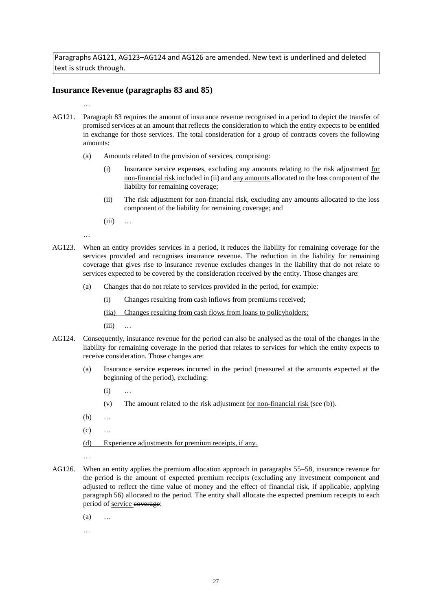Paragraphs AG121, AG123–AG124 and AG126 are amended. New text is underlined and deleted text is struck through.

## **Insurance Revenue (paragraphs 83 and 85)**

…

- AG121. Paragraph 83 requires the amount of insurance revenue recognised in a period to depict the transfer of promised services at an amount that reflects the consideration to which the entity expects to be entitled in exchange for those services. The total consideration for a group of contracts covers the following amounts:
	- (a) Amounts related to the provision of services, comprising:
		- (i) Insurance service expenses, excluding any amounts relating to the risk adjustment for non-financial risk included in (ii) and any amounts allocated to the loss component of the liability for remaining coverage;
		- (ii) The risk adjustment for non-financial risk, excluding any amounts allocated to the loss component of the liability for remaining coverage; and
		- $(iii) \dots$

…

- AG123. When an entity provides services in a period, it reduces the liability for remaining coverage for the services provided and recognises insurance revenue. The reduction in the liability for remaining coverage that gives rise to insurance revenue excludes changes in the liability that do not relate to services expected to be covered by the consideration received by the entity. Those changes are:
	- (a) Changes that do not relate to services provided in the period, for example:
		- (i) Changes resulting from cash inflows from premiums received;

(iia) Changes resulting from cash flows from loans to policyholders;

 $(iii)$  ...

- AG124. Consequently, insurance revenue for the period can also be analysed as the total of the changes in the liability for remaining coverage in the period that relates to services for which the entity expects to receive consideration. Those changes are:
	- (a) Insurance service expenses incurred in the period (measured at the amounts expected at the beginning of the period), excluding:
		- (i) …
		- (v) The amount related to the risk adjustment <u>for non-financial risk</u> (see (b)).
	- (b) …
	- $(c)$  ...
	- (d) Experience adjustments for premium receipts, if any.
	-

…

AG126. When an entity applies the premium allocation approach in paragraphs 55–58, insurance revenue for the period is the amount of expected premium receipts (excluding any investment component and adjusted to reflect the time value of money and the effect of financial risk, if applicable, applying paragraph 56) allocated to the period. The entity shall allocate the expected premium receipts to each period of service coverage:

 $(a)$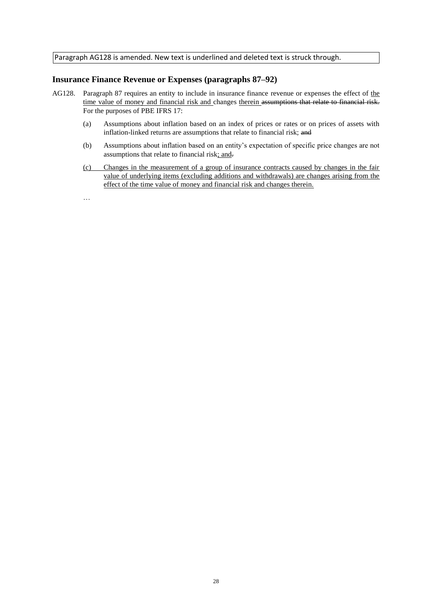Paragraph AG128 is amended. New text is underlined and deleted text is struck through.

## **Insurance Finance Revenue or Expenses (paragraphs 87–92)**

- AG128. Paragraph 87 requires an entity to include in insurance finance revenue or expenses the effect of the time value of money and financial risk and changes therein assumptions that relate to financial risk. For the purposes of PBE IFRS 17:
	- (a) Assumptions about inflation based on an index of prices or rates or on prices of assets with inflation-linked returns are assumptions that relate to financial risk; and
	- (b) Assumptions about inflation based on an entity's expectation of specific price changes are not assumptions that relate to financial risk; and.
	- (c) Changes in the measurement of a group of insurance contracts caused by changes in the fair value of underlying items (excluding additions and withdrawals) are changes arising from the effect of the time value of money and financial risk and changes therein.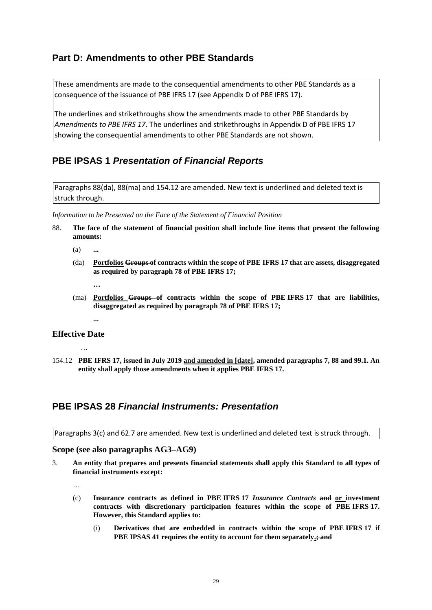# **Part D: Amendments to other PBE Standards**

These amendments are made to the consequential amendments to other PBE Standards as a consequence of the issuance of PBE IFRS 17 (see Appendix D of PBE IFRS 17).

The underlines and strikethroughs show the amendments made to other PBE Standards by *Amendments to PBE IFRS 17*. The underlines and strikethroughs in Appendix D of PBE IFRS 17 showing the consequential amendments to other PBE Standards are not shown.

# **PBE IPSAS 1** *Presentation of Financial Reports*

Paragraphs 88(da), 88(ma) and 154.12 are amended. New text is underlined and deleted text is struck through.

*Information to be Presented on the Face of the Statement of Financial Position*

- 88. **The face of the statement of financial position shall include line items that present the following amounts:**
	- (a) **...**
	- (da) **Portfolios Groups of contracts within the scope of PBE IFRS 17 that are assets, disaggregated as required by paragraph 78 of PBE IFRS 17;**
		- **…**
	- (ma) **Portfolios Groups of contracts within the scope of PBE IFRS 17 that are liabilities, disaggregated as required by paragraph 78 of PBE IFRS 17;**
		- **...**

# **Effective Date**

…

154.12 **PBE IFRS 17, issued in July 2019 and amended in [date], amended paragraphs 7, 88 and 99.1. An entity shall apply those amendments when it applies PBE IFRS 17.**

# **PBE IPSAS 28** *Financial Instruments: Presentation*

Paragraphs 3(c) and 62.7 are amended. New text is underlined and deleted text is struck through.

# **Scope (see also paragraphs AG3–AG9)**

- 3. **An entity that prepares and presents financial statements shall apply this Standard to all types of financial instruments except:**
	- …
	- (c) **Insurance contracts as defined in PBE IFRS 17** *Insurance Contracts* **and or investment contracts with discretionary participation features within the scope of PBE IFRS 17. However, this Standard applies to:** 
		- (i) **Derivatives that are embedded in contracts within the scope of PBE IFRS 17 if PBE IPSAS 41 requires the entity to account for them separately.; and**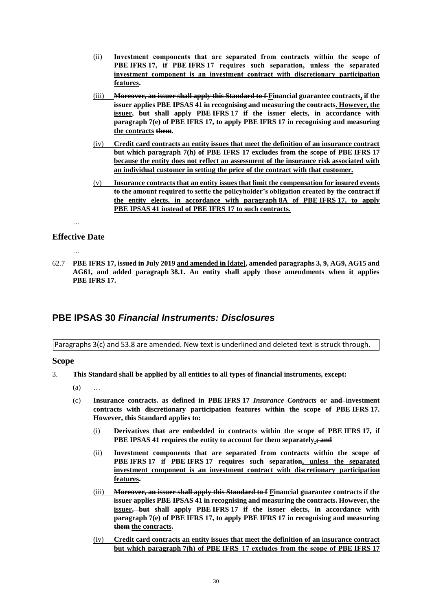- (ii) **Investment components that are separated from contracts within the scope of PBE IFRS 17, if PBE IFRS 17 requires such separation, unless the separated investment component is an investment contract with discretionary participation features.**
- (iii) **Moreover, an issuer shall apply this Standard to f Financial guarantee contracts, if the issuer applies PBE IPSAS 41 in recognising and measuring the contracts. However, the issuer, but shall apply PBE IFRS 17 if the issuer elects, in accordance with paragraph 7(e) of PBE IFRS 17, to apply PBE IFRS 17 in recognising and measuring the contracts them.**
- (iv) **Credit card contracts an entity issues that meet the definition of an insurance contract but which paragraph 7(h) of PBE IFRS 17 excludes from the scope of PBE IFRS 17 because the entity does not reflect an assessment of the insurance risk associated with an individual customer in setting the price of the contract with that customer.**
- (v) **Insurance contracts that an entity issues that limit the compensation for insured events to the amount required to settle the policyholder's obligation created by the contract if the entity elects, in accordance with paragraph 8A of PBE IFRS 17, to apply PBE IPSAS 41 instead of PBE IFRS 17 to such contracts.**

# **Effective Date**

…

…

62.7 **PBE IFRS 17, issued in July 2019 and amended in [date], amended paragraphs 3, 9, AG9, AG15 and AG61, and added paragraph 38.1. An entity shall apply those amendments when it applies PBE IFRS 17.**

# **PBE IPSAS 30** *Financial Instruments: Disclosures*

Paragraphs 3(c) and 53.8 are amended. New text is underlined and deleted text is struck through.

#### **Scope**

- 3. **This Standard shall be applied by all entities to all types of financial instruments, except:** 
	- $(a)$
	- (c) **Insurance contracts. as defined in PBE IFRS 17** *Insurance Contracts* **or and investment contracts with discretionary participation features within the scope of PBE IFRS 17. However, this Standard applies to:**
		- (i) **Derivatives that are embedded in contracts within the scope of PBE IFRS 17, if PBE IPSAS 41 requires the entity to account for them separately.; and**
		- (ii) **Investment components that are separated from contracts within the scope of PBE IFRS 17 if PBE IFRS 17 requires such separation, unless the separated investment component is an investment contract with discretionary participation features.**
		- (iii) **Moreover, an issuer shall apply this Standard to f Financial guarantee contracts if the issuer applies PBE IPSAS 41 in recognising and measuring the contracts. However, the issuer, but shall apply PBE IFRS 17 if the issuer elects, in accordance with paragraph 7(e) of PBE IFRS 17, to apply PBE IFRS 17 in recognising and measuring them the contracts.**
		- (iv) **Credit card contracts an entity issues that meet the definition of an insurance contract but which paragraph 7(h) of PBE IFRS  17 excludes from the scope of PBE IFRS 17**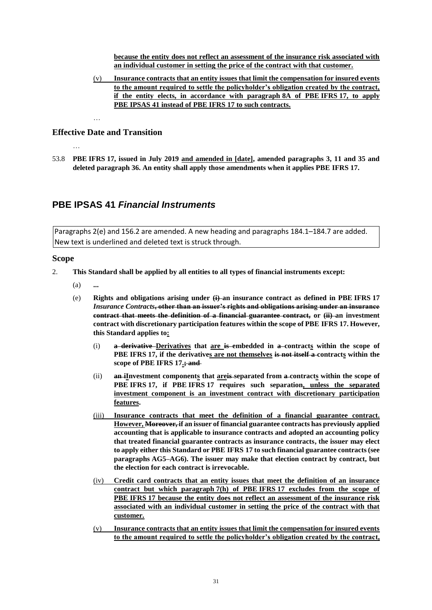**because the entity does not reflect an assessment of the insurance risk associated with an individual customer in setting the price of the contract with that customer.**

(v) **Insurance contracts that an entity issues that limit the compensation for insured events to the amount required to settle the policyholder's obligation created by the contract, if the entity elects, in accordance with paragraph 8A of PBE IFRS 17, to apply PBE IPSAS 41 instead of PBE IFRS 17 to such contracts.**

# **Effective Date and Transition**

…

…

53.8 **PBE IFRS 17, issued in July 2019 and amended in [date], amended paragraphs 3, 11 and 35 and deleted paragraph 36. An entity shall apply those amendments when it applies PBE IFRS 17.**

# **PBE IPSAS 41** *Financial Instruments*

Paragraphs 2(e) and 156.2 are amended. A new heading and paragraphs 184.1–184.7 are added. New text is underlined and deleted text is struck through.

#### **Scope**

- 2. **This Standard shall be applied by all entities to all types of financial instruments except:**
	- (a) **...**
	- (e) **Rights and obligations arising under (i) an insurance contract as defined in PBE IFRS 17**  *Insurance Contracts***, other than an issuer's rights and obligations arising under an insurance contract that meets the definition of a financial guarantee contract, or (ii) an investment contract with discretionary participation features within the scope of PBE IFRS 17. However, this Standard applies to:**
		- (i) **a derivative Derivatives that are is embedded in a contracts within the scope of PBE IFRS 17, if the derivatives are not themselves is not itself a contracts within the scope of PBE IFRS 17.; and**
		- (ii) **an iInvestment components that areis separated from a contracts within the scope of PBE IFRS 17, if PBE IFRS 17 requires such separation, unless the separated investment component is an investment contract with discretionary participation features.**
		- (iii) **Insurance contracts that meet the definition of a financial guarantee contract. However, Moreover, if an issuer of financial guarantee contracts has previously applied accounting that is applicable to insurance contracts and adopted an accounting policy that treated financial guarantee contracts as insurance contracts, the issuer may elect to apply either this Standard or PBE IFRS 17 to such financial guarantee contracts (see paragraphs AG5–AG6). The issuer may make that election contract by contract, but the election for each contract is irrevocable.**
		- (iv) **Credit card contracts that an entity issues that meet the definition of an insurance contract but which paragraph 7(h) of PBE IFRS 17 excludes from the scope of PBE IFRS 17 because the entity does not reflect an assessment of the insurance risk associated with an individual customer in setting the price of the contract with that customer.**
		- (v) **Insurance contracts that an entity issues that limit the compensation for insured events to the amount required to settle the policyholder's obligation created by the contract,**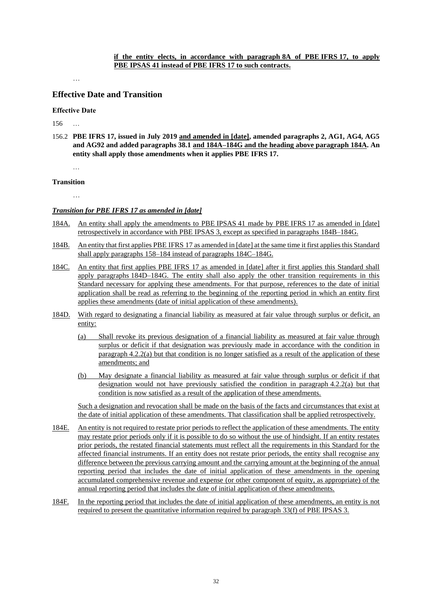…

# **Effective Date and Transition**

#### **Effective Date**

156 …

156.2 **PBE IFRS 17, issued in July 2019 and amended in [date], amended paragraphs 2, AG1, AG4, AG5 and AG92 and added paragraphs 38.1 and 184A–184G and the heading above paragraph 184A. An entity shall apply those amendments when it applies PBE IFRS 17.**

…

#### **Transition**

…

#### *Transition for PBE IFRS 17 as amended in [date]*

- 184A. An entity shall apply the amendments to PBE IPSAS 41 made by PBE IFRS 17 as amended in [date] retrospectively in accordance with PBE IPSAS 3, except as specified in paragraphs 184B–184G.
- 184B. An entity that first applies PBE IFRS 17 as amended in [date] at the same time it first applies this Standard shall apply paragraphs 158–184 instead of paragraphs 184C–184G.
- 184C. An entity that first applies PBE IFRS 17 as amended in [date] after it first applies this Standard shall apply paragraphs 184D–184G. The entity shall also apply the other transition requirements in this Standard necessary for applying these amendments. For that purpose, references to the date of initial application shall be read as referring to the beginning of the reporting period in which an entity first applies these amendments (date of initial application of these amendments).
- 184D. With regard to designating a financial liability as measured at fair value through surplus or deficit, an entity:
	- (a) Shall revoke its previous designation of a financial liability as measured at fair value through surplus or deficit if that designation was previously made in accordance with the condition in paragraph 4.2.2(a) but that condition is no longer satisfied as a result of the application of these amendments; and
	- (b) May designate a financial liability as measured at fair value through surplus or deficit if that designation would not have previously satisfied the condition in paragraph 4.2.2(a) but that condition is now satisfied as a result of the application of these amendments.

Such a designation and revocation shall be made on the basis of the facts and circumstances that exist at the date of initial application of these amendments. That classification shall be applied retrospectively.

- 184E. An entity is not required to restate prior periods to reflect the application of these amendments. The entity may restate prior periods only if it is possible to do so without the use of hindsight. If an entity restates prior periods, the restated financial statements must reflect all the requirements in this Standard for the affected financial instruments. If an entity does not restate prior periods, the entity shall recognise any difference between the previous carrying amount and the carrying amount at the beginning of the annual reporting period that includes the date of initial application of these amendments in the opening accumulated comprehensive revenue and expense (or other component of equity, as appropriate) of the annual reporting period that includes the date of initial application of these amendments.
- 184F. In the reporting period that includes the date of initial application of these amendments, an entity is not required to present the quantitative information required by paragraph 33(f) of PBE IPSAS 3.